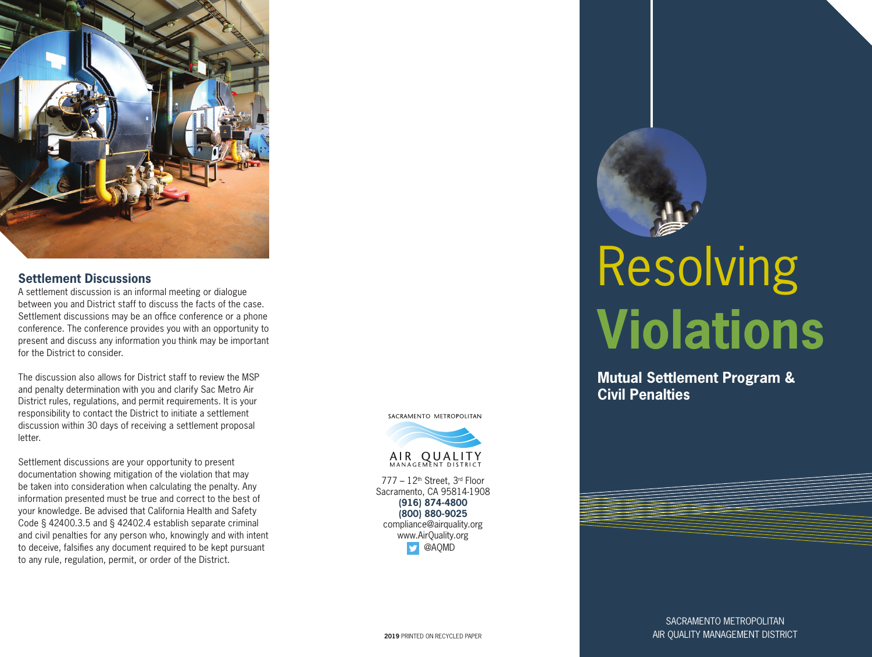

### **Settlement Discussions**

A settlement discussion is an informal meeting or dialogue between you and District staff to discuss the facts of the case. Settlement discussions may be an office conference or a phone conference. The conference provides you with an opportunity to present and discuss any information you think may be important for the District to consider.

The discussion also allows for District staff to review the MSP and penalty determination with you and clarify Sac Metro Air District rules, regulations, and permit requirements. It is your responsibility to contact the District to initiate a settlement discussion within 30 days of receiving a settlement proposal letter.

Settlement discussions are your opportunity to present documentation showing mitigation of the violation that may be taken into consideration when calculating the penalty. Any information presented must be true and correct to the best of your knowledge. Be advised that California Health and Safety Code § 42400.3.5 and § 42402.4 establish separate criminal and civil penalties for any person who, knowingly and with intent to deceive, falsifies any document required to be kept pursuant to any rule, regulation, permit, or order of the District.

SACRAMENTO METROPOLITAN



777 – 12th Street, 3rd Floor Sacramento, CA 95814-1908 **(916) 874-4800 (800) 880-9025** compliance@airquality.org [www.AirQuality.org](http://www.AirQuality.org) **D** @AQMD

# Resolving **Violations**

**Mutual Settlement Program & Civil Penalties**